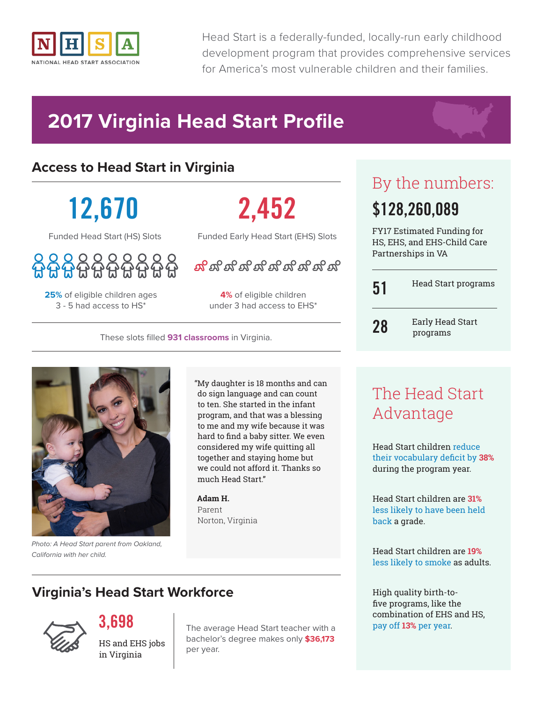

Head Start is a federally-funded, locally-run early childhood development program that provides comprehensive services for America's most vulnerable children and their families.

# **2017 Virginia Head Start Profile**

#### **Access to Head Start in Virginia**

**12,670**

Funded Head Start (HS) Slots

**25%** of eligible children ages 3 - 5 had access to HS\*

# **2,452**

Funded Early Head Start (EHS) Slots

ದ್ದು ದ್ವಾಗಿ ದ್ವಾಗಿ ದ್ವಾಗಿ ದ್ವಾಗಿ ದ

**4%** of eligible children under 3 had access to EHS\*

These slots filled **931 classrooms** in Virginia.



*Photo: A Head Start parent from Oakland, California with her child.*

"My daughter is 18 months and can do sign language and can count to ten. She started in the infant program, and that was a blessing to me and my wife because it was hard to find a baby sitter. We even considered my wife quitting all together and staying home but we could not afford it. Thanks so much Head Start."

**Adam H.** Parent Norton, Virginia

## By the numbers: **\$128,260,089**

FY17 Estimated Funding for HS, EHS, and EHS-Child Care Partnerships in VA

| 51 | <b>Head Start programs</b>   |
|----|------------------------------|
| 28 | Early Head Start<br>programs |

### The Head Start Advantage

Head Start children reduce their vocabulary deficit by **38%** during the program year.

Head Start children are **31%** less likely to have been held back a grade.

Head Start children are **19%** less likely to smoke as adults.

High quality birth-tofive programs, like the combination of EHS and HS, pay off **13%** per year.

#### **Virginia's Head Start Workforce**



**3,698**

HS and EHS jobs in Virginia

The average Head Start teacher with a bachelor's degree makes only **\$36,173** per year.